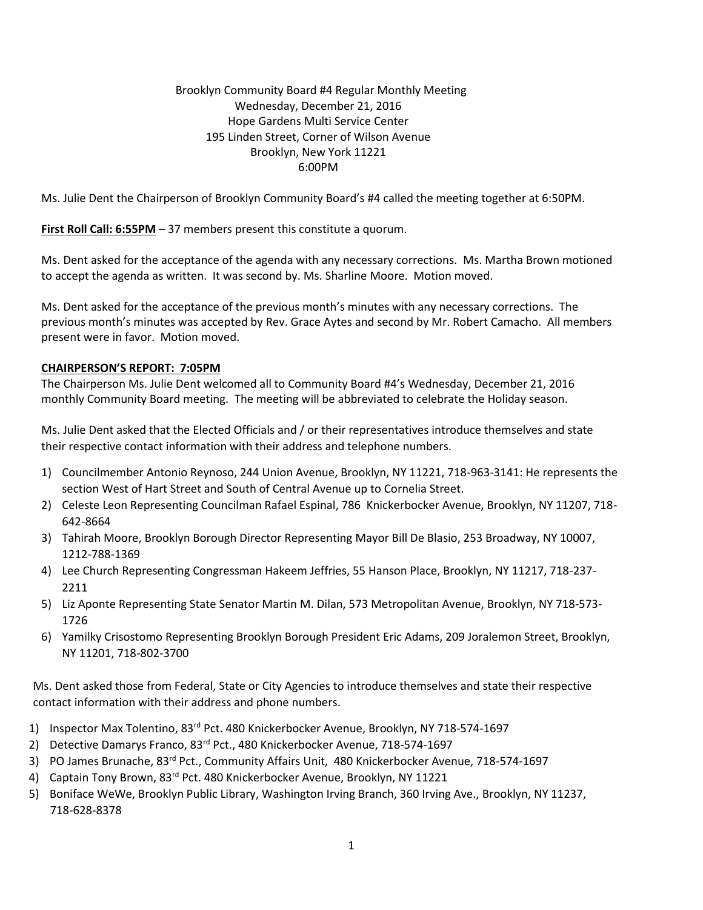## Brooklyn Community Board #4 Regular Monthly Meeting Wednesday, December 21, 2016 Hope Gardens Multi Service Center 195 Linden Street, Corner of Wilson Avenue Brooklyn, New York 11221 6:00PM

Ms. Julie Dent the Chairperson of Brooklyn Community Board's #4 called the meeting together at 6:50PM.

**First Roll Call: 6:55PM** – 37 members present this constitute a quorum.

Ms. Dent asked for the acceptance of the agenda with any necessary corrections. Ms. Martha Brown motioned to accept the agenda as written. It was second by. Ms. Sharline Moore. Motion moved.

Ms. Dent asked for the acceptance of the previous month's minutes with any necessary corrections. The previous month's minutes was accepted by Rev. Grace Aytes and second by Mr. Robert Camacho. All members present were in favor. Motion moved.

### **CHAIRPERSON'S REPORT: 7:05PM**

The Chairperson Ms. Julie Dent welcomed all to Community Board #4's Wednesday, December 21, 2016 monthly Community Board meeting. The meeting will be abbreviated to celebrate the Holiday season.

Ms. Julie Dent asked that the Elected Officials and / or their representatives introduce themselves and state their respective contact information with their address and telephone numbers.

- 1) Councilmember Antonio Reynoso, 244 Union Avenue, Brooklyn, NY 11221, 718-963-3141: He represents the section West of Hart Street and South of Central Avenue up to Cornelia Street.
- 2) Celeste Leon Representing Councilman Rafael Espinal, 786 Knickerbocker Avenue, Brooklyn, NY 11207, 718- 642-8664
- 3) Tahirah Moore, Brooklyn Borough Director Representing Mayor Bill De Blasio, 253 Broadway, NY 10007, 1212-788-1369
- 4) Lee Church Representing Congressman Hakeem Jeffries, 55 Hanson Place, Brooklyn, NY 11217, 718-237- 2211
- 5) Liz Aponte Representing State Senator Martin M. Dilan, 573 Metropolitan Avenue, Brooklyn, NY 718-573- 1726
- 6) Yamilky Crisostomo Representing Brooklyn Borough President Eric Adams, 209 Joralemon Street, Brooklyn, NY 11201, 718-802-3700

Ms. Dent asked those from Federal, State or City Agencies to introduce themselves and state their respective contact information with their address and phone numbers.

- 1) Inspector Max Tolentino, 83rd Pct. 480 Knickerbocker Avenue, Brooklyn, NY 718-574-1697
- 2) Detective Damarys Franco, 83<sup>rd</sup> Pct., 480 Knickerbocker Avenue, 718-574-1697
- 3) PO James Brunache, 83rd Pct., Community Affairs Unit, 480 Knickerbocker Avenue, 718-574-1697
- 4) Captain Tony Brown, 83<sup>rd</sup> Pct. 480 Knickerbocker Avenue, Brooklyn, NY 11221
- 5) Boniface WeWe, Brooklyn Public Library, Washington Irving Branch, 360 Irving Ave., Brooklyn, NY 11237, 718-628-8378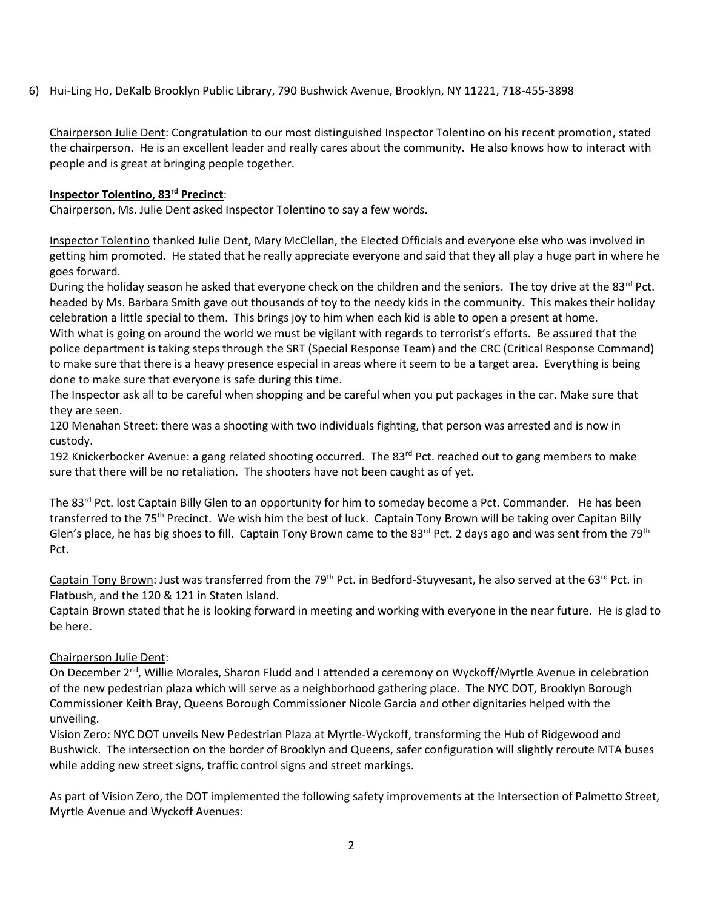6) Hui-Ling Ho, DeKalb Brooklyn Public Library, 790 Bushwick Avenue, Brooklyn, NY 11221, 718-455-3898

Chairperson Julie Dent: Congratulation to our most distinguished Inspector Tolentino on his recent promotion, stated the chairperson. He is an excellent leader and really cares about the community. He also knows how to interact with people and is great at bringing people together.

## **Inspector Tolentino, 83rd Precinct**:

Chairperson, Ms. Julie Dent asked Inspector Tolentino to say a few words.

Inspector Tolentino thanked Julie Dent, Mary McClellan, the Elected Officials and everyone else who was involved in getting him promoted. He stated that he really appreciate everyone and said that they all play a huge part in where he goes forward.

During the holiday season he asked that everyone check on the children and the seniors. The toy drive at the 83<sup>rd</sup> Pct. headed by Ms. Barbara Smith gave out thousands of toy to the needy kids in the community. This makes their holiday celebration a little special to them. This brings joy to him when each kid is able to open a present at home. With what is going on around the world we must be vigilant with regards to terrorist's efforts. Be assured that the police department is taking steps through the SRT (Special Response Team) and the CRC (Critical Response Command) to make sure that there is a heavy presence especial in areas where it seem to be a target area. Everything is being done to make sure that everyone is safe during this time.

The Inspector ask all to be careful when shopping and be careful when you put packages in the car. Make sure that they are seen.

120 Menahan Street: there was a shooting with two individuals fighting, that person was arrested and is now in custody.

192 Knickerbocker Avenue: a gang related shooting occurred. The 83<sup>rd</sup> Pct. reached out to gang members to make sure that there will be no retaliation. The shooters have not been caught as of yet.

The 83<sup>rd</sup> Pct. lost Captain Billy Glen to an opportunity for him to someday become a Pct. Commander. He has been transferred to the 75<sup>th</sup> Precinct. We wish him the best of luck. Captain Tony Brown will be taking over Capitan Billy Glen's place, he has big shoes to fill. Captain Tony Brown came to the 83<sup>rd</sup> Pct. 2 days ago and was sent from the 79<sup>th</sup> Pct.

Captain Tony Brown: Just was transferred from the 79<sup>th</sup> Pct. in Bedford-Stuyvesant, he also served at the 63<sup>rd</sup> Pct. in Flatbush, and the 120 & 121 in Staten Island.

Captain Brown stated that he is looking forward in meeting and working with everyone in the near future. He is glad to be here.

# Chairperson Julie Dent:

On December 2<sup>nd</sup>, Willie Morales, Sharon Fludd and I attended a ceremony on Wyckoff/Myrtle Avenue in celebration of the new pedestrian plaza which will serve as a neighborhood gathering place. The NYC DOT, Brooklyn Borough Commissioner Keith Bray, Queens Borough Commissioner Nicole Garcia and other dignitaries helped with the unveiling.

Vision Zero: NYC DOT unveils New Pedestrian Plaza at Myrtle-Wyckoff, transforming the Hub of Ridgewood and Bushwick. The intersection on the border of Brooklyn and Queens, safer configuration will slightly reroute MTA buses while adding new street signs, traffic control signs and street markings.

As part of Vision Zero, the DOT implemented the following safety improvements at the Intersection of Palmetto Street, Myrtle Avenue and Wyckoff Avenues: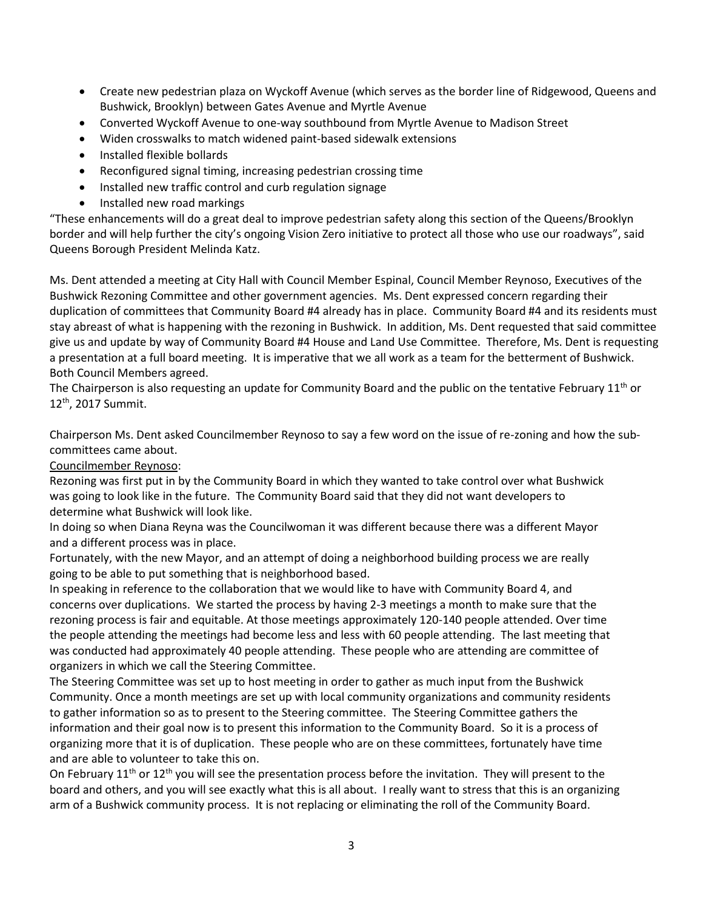- Create new pedestrian plaza on Wyckoff Avenue (which serves as the border line of Ridgewood, Queens and Bushwick, Brooklyn) between Gates Avenue and Myrtle Avenue
- Converted Wyckoff Avenue to one-way southbound from Myrtle Avenue to Madison Street
- Widen crosswalks to match widened paint-based sidewalk extensions
- Installed flexible bollards
- Reconfigured signal timing, increasing pedestrian crossing time
- Installed new traffic control and curb regulation signage
- Installed new road markings

"These enhancements will do a great deal to improve pedestrian safety along this section of the Queens/Brooklyn border and will help further the city's ongoing Vision Zero initiative to protect all those who use our roadways", said Queens Borough President Melinda Katz.

Ms. Dent attended a meeting at City Hall with Council Member Espinal, Council Member Reynoso, Executives of the Bushwick Rezoning Committee and other government agencies. Ms. Dent expressed concern regarding their duplication of committees that Community Board #4 already has in place. Community Board #4 and its residents must stay abreast of what is happening with the rezoning in Bushwick. In addition, Ms. Dent requested that said committee give us and update by way of Community Board #4 House and Land Use Committee. Therefore, Ms. Dent is requesting a presentation at a full board meeting. It is imperative that we all work as a team for the betterment of Bushwick. Both Council Members agreed.

The Chairperson is also requesting an update for Community Board and the public on the tentative February 11<sup>th</sup> or 12th, 2017 Summit.

Chairperson Ms. Dent asked Councilmember Reynoso to say a few word on the issue of re-zoning and how the subcommittees came about.

### Councilmember Reynoso:

Rezoning was first put in by the Community Board in which they wanted to take control over what Bushwick was going to look like in the future. The Community Board said that they did not want developers to determine what Bushwick will look like.

In doing so when Diana Reyna was the Councilwoman it was different because there was a different Mayor and a different process was in place.

Fortunately, with the new Mayor, and an attempt of doing a neighborhood building process we are really going to be able to put something that is neighborhood based.

In speaking in reference to the collaboration that we would like to have with Community Board 4, and concerns over duplications. We started the process by having 2-3 meetings a month to make sure that the rezoning process is fair and equitable. At those meetings approximately 120-140 people attended. Over time the people attending the meetings had become less and less with 60 people attending. The last meeting that was conducted had approximately 40 people attending. These people who are attending are committee of organizers in which we call the Steering Committee.

The Steering Committee was set up to host meeting in order to gather as much input from the Bushwick Community. Once a month meetings are set up with local community organizations and community residents to gather information so as to present to the Steering committee. The Steering Committee gathers the information and their goal now is to present this information to the Community Board. So it is a process of organizing more that it is of duplication. These people who are on these committees, fortunately have time and are able to volunteer to take this on.

On February  $11<sup>th</sup>$  or  $12<sup>th</sup>$  you will see the presentation process before the invitation. They will present to the board and others, and you will see exactly what this is all about. I really want to stress that this is an organizing arm of a Bushwick community process. It is not replacing or eliminating the roll of the Community Board.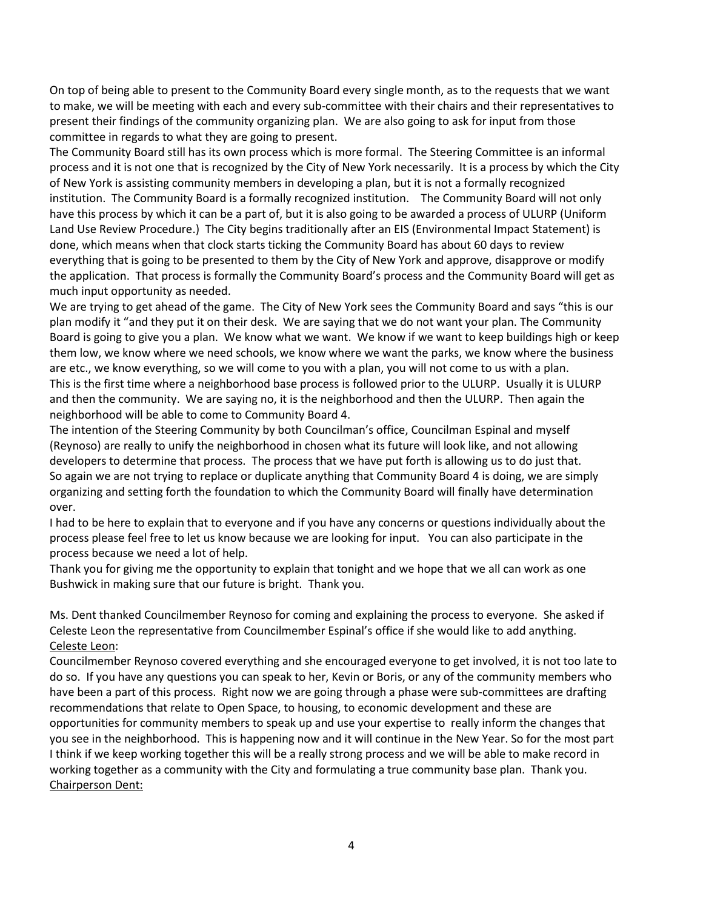On top of being able to present to the Community Board every single month, as to the requests that we want to make, we will be meeting with each and every sub-committee with their chairs and their representatives to present their findings of the community organizing plan. We are also going to ask for input from those committee in regards to what they are going to present.

The Community Board still has its own process which is more formal. The Steering Committee is an informal process and it is not one that is recognized by the City of New York necessarily. It is a process by which the City of New York is assisting community members in developing a plan, but it is not a formally recognized institution. The Community Board is a formally recognized institution. The Community Board will not only have this process by which it can be a part of, but it is also going to be awarded a process of ULURP (Uniform Land Use Review Procedure.) The City begins traditionally after an EIS (Environmental Impact Statement) is done, which means when that clock starts ticking the Community Board has about 60 days to review everything that is going to be presented to them by the City of New York and approve, disapprove or modify the application. That process is formally the Community Board's process and the Community Board will get as much input opportunity as needed.

We are trying to get ahead of the game. The City of New York sees the Community Board and says "this is our plan modify it "and they put it on their desk. We are saying that we do not want your plan. The Community Board is going to give you a plan. We know what we want. We know if we want to keep buildings high or keep them low, we know where we need schools, we know where we want the parks, we know where the business are etc., we know everything, so we will come to you with a plan, you will not come to us with a plan. This is the first time where a neighborhood base process is followed prior to the ULURP. Usually it is ULURP and then the community. We are saying no, it is the neighborhood and then the ULURP. Then again the neighborhood will be able to come to Community Board 4.

The intention of the Steering Community by both Councilman's office, Councilman Espinal and myself (Reynoso) are really to unify the neighborhood in chosen what its future will look like, and not allowing developers to determine that process. The process that we have put forth is allowing us to do just that. So again we are not trying to replace or duplicate anything that Community Board 4 is doing, we are simply organizing and setting forth the foundation to which the Community Board will finally have determination over.

I had to be here to explain that to everyone and if you have any concerns or questions individually about the process please feel free to let us know because we are looking for input. You can also participate in the process because we need a lot of help.

Thank you for giving me the opportunity to explain that tonight and we hope that we all can work as one Bushwick in making sure that our future is bright. Thank you.

Ms. Dent thanked Councilmember Reynoso for coming and explaining the process to everyone. She asked if Celeste Leon the representative from Councilmember Espinal's office if she would like to add anything. Celeste Leon:

Councilmember Reynoso covered everything and she encouraged everyone to get involved, it is not too late to do so. If you have any questions you can speak to her, Kevin or Boris, or any of the community members who have been a part of this process. Right now we are going through a phase were sub-committees are drafting recommendations that relate to Open Space, to housing, to economic development and these are opportunities for community members to speak up and use your expertise to really inform the changes that you see in the neighborhood. This is happening now and it will continue in the New Year. So for the most part I think if we keep working together this will be a really strong process and we will be able to make record in working together as a community with the City and formulating a true community base plan. Thank you. Chairperson Dent: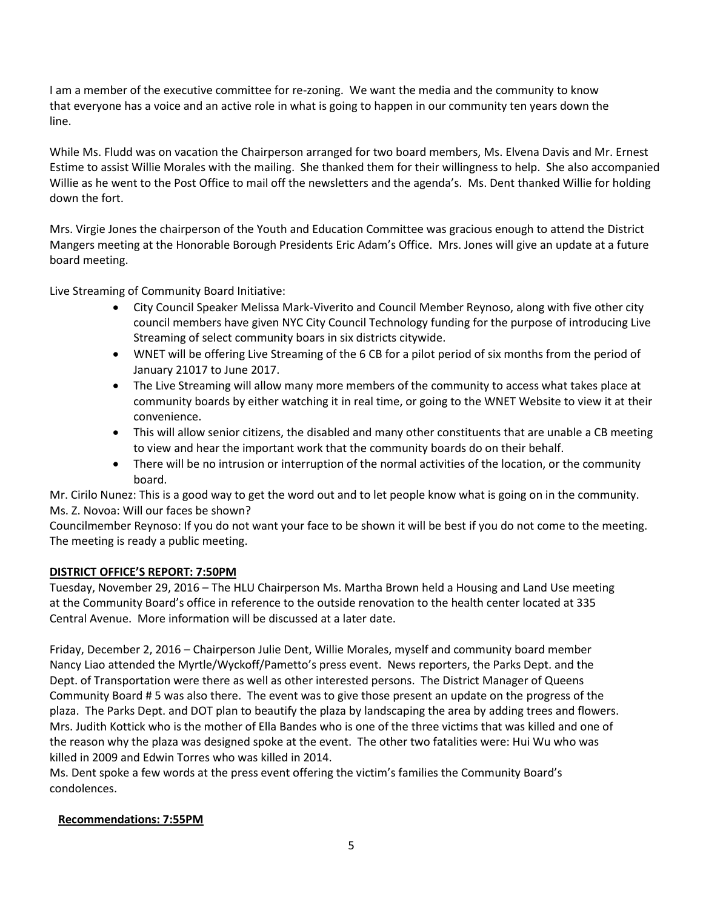I am a member of the executive committee for re-zoning. We want the media and the community to know that everyone has a voice and an active role in what is going to happen in our community ten years down the line.

While Ms. Fludd was on vacation the Chairperson arranged for two board members, Ms. Elvena Davis and Mr. Ernest Estime to assist Willie Morales with the mailing. She thanked them for their willingness to help. She also accompanied Willie as he went to the Post Office to mail off the newsletters and the agenda's. Ms. Dent thanked Willie for holding down the fort.

Mrs. Virgie Jones the chairperson of the Youth and Education Committee was gracious enough to attend the District Mangers meeting at the Honorable Borough Presidents Eric Adam's Office. Mrs. Jones will give an update at a future board meeting.

Live Streaming of Community Board Initiative:

- City Council Speaker Melissa Mark-Viverito and Council Member Reynoso, along with five other city council members have given NYC City Council Technology funding for the purpose of introducing Live Streaming of select community boars in six districts citywide.
- WNET will be offering Live Streaming of the 6 CB for a pilot period of six months from the period of January 21017 to June 2017.
- The Live Streaming will allow many more members of the community to access what takes place at community boards by either watching it in real time, or going to the WNET Website to view it at their convenience.
- This will allow senior citizens, the disabled and many other constituents that are unable a CB meeting to view and hear the important work that the community boards do on their behalf.
- There will be no intrusion or interruption of the normal activities of the location, or the community board.

Mr. Cirilo Nunez: This is a good way to get the word out and to let people know what is going on in the community. Ms. Z. Novoa: Will our faces be shown?

Councilmember Reynoso: If you do not want your face to be shown it will be best if you do not come to the meeting. The meeting is ready a public meeting.

# **DISTRICT OFFICE'S REPORT: 7:50PM**

Tuesday, November 29, 2016 – The HLU Chairperson Ms. Martha Brown held a Housing and Land Use meeting at the Community Board's office in reference to the outside renovation to the health center located at 335 Central Avenue. More information will be discussed at a later date.

Friday, December 2, 2016 – Chairperson Julie Dent, Willie Morales, myself and community board member Nancy Liao attended the Myrtle/Wyckoff/Pametto's press event. News reporters, the Parks Dept. and the Dept. of Transportation were there as well as other interested persons. The District Manager of Queens Community Board # 5 was also there. The event was to give those present an update on the progress of the plaza. The Parks Dept. and DOT plan to beautify the plaza by landscaping the area by adding trees and flowers. Mrs. Judith Kottick who is the mother of Ella Bandes who is one of the three victims that was killed and one of the reason why the plaza was designed spoke at the event. The other two fatalities were: Hui Wu who was killed in 2009 and Edwin Torres who was killed in 2014.

Ms. Dent spoke a few words at the press event offering the victim's families the Community Board's condolences.

# **Recommendations: 7:55PM**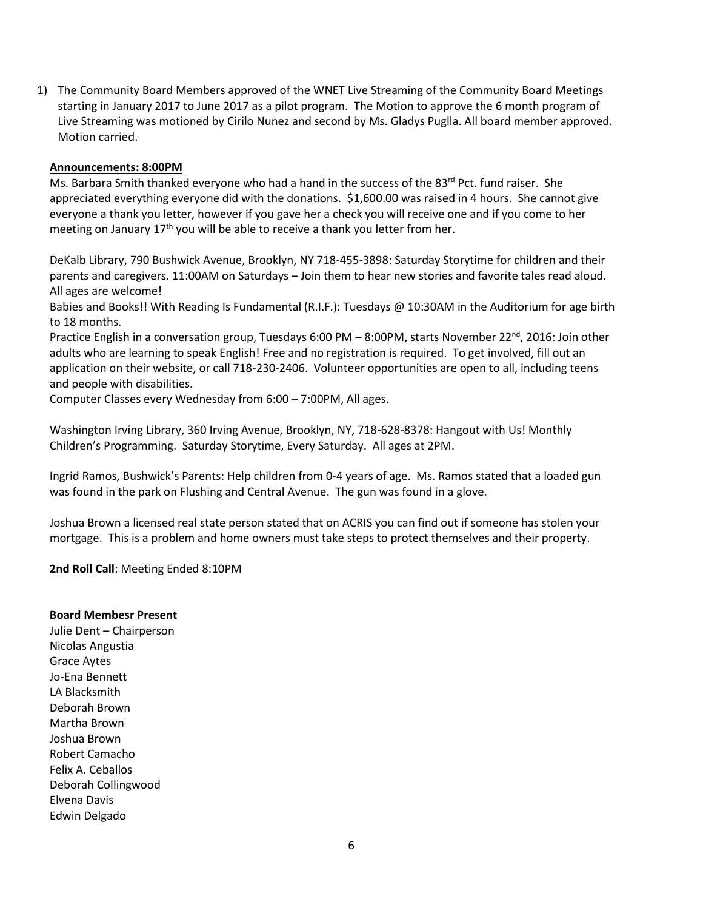1) The Community Board Members approved of the WNET Live Streaming of the Community Board Meetings starting in January 2017 to June 2017 as a pilot program. The Motion to approve the 6 month program of Live Streaming was motioned by Cirilo Nunez and second by Ms. Gladys Puglla. All board member approved. Motion carried.

### **Announcements: 8:00PM**

Ms. Barbara Smith thanked everyone who had a hand in the success of the 83rd Pct. fund raiser. She appreciated everything everyone did with the donations. \$1,600.00 was raised in 4 hours. She cannot give everyone a thank you letter, however if you gave her a check you will receive one and if you come to her meeting on January 17<sup>th</sup> you will be able to receive a thank you letter from her.

DeKalb Library, 790 Bushwick Avenue, Brooklyn, NY 718-455-3898: Saturday Storytime for children and their parents and caregivers. 11:00AM on Saturdays – Join them to hear new stories and favorite tales read aloud. All ages are welcome!

Babies and Books!! With Reading Is Fundamental (R.I.F.): Tuesdays @ 10:30AM in the Auditorium for age birth to 18 months.

Practice English in a conversation group, Tuesdays 6:00 PM – 8:00PM, starts November 22<sup>nd</sup>, 2016: Join other adults who are learning to speak English! Free and no registration is required. To get involved, fill out an application on their website, or call 718-230-2406. Volunteer opportunities are open to all, including teens and people with disabilities.

Computer Classes every Wednesday from 6:00 – 7:00PM, All ages.

Washington Irving Library, 360 Irving Avenue, Brooklyn, NY, 718-628-8378: Hangout with Us! Monthly Children's Programming. Saturday Storytime, Every Saturday. All ages at 2PM.

Ingrid Ramos, Bushwick's Parents: Help children from 0-4 years of age. Ms. Ramos stated that a loaded gun was found in the park on Flushing and Central Avenue. The gun was found in a glove.

Joshua Brown a licensed real state person stated that on ACRIS you can find out if someone has stolen your mortgage. This is a problem and home owners must take steps to protect themselves and their property.

**2nd Roll Call**: Meeting Ended 8:10PM

#### **Board Membesr Present**

Julie Dent – Chairperson Nicolas Angustia Grace Aytes Jo-Ena Bennett LA Blacksmith Deborah Brown Martha Brown Joshua Brown Robert Camacho Felix A. Ceballos Deborah Collingwood Elvena Davis Edwin Delgado